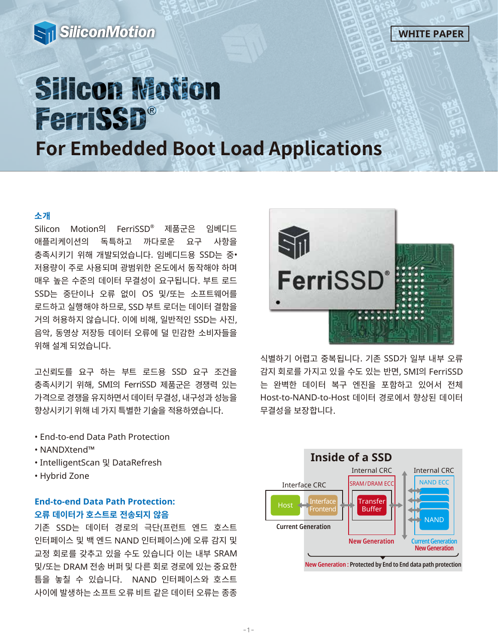



# **Silicon Motion** FerriSSD®

**For Embedded Boot Load Applications**

### **소개**

Silicon Motion의 FerriSSD® 제품군은 임베디드 애플리케이션의 독특하고 까다로운 요구 사항을 충족시키기 위해 개발되었습니다. 임베디드용 SSD는 중• 저용량이 주로 사용되며 광범위한 온도에서 동작해야 하며 매우 높은 수준의 데이터 무결성이 요구됩니다. 부트 로드 SSD는 중단이나 오류 없이 OS 및/또는 소프트웨어를 로드하고 실행해야 하므로, SSD 부트 로더는 데이터 결함을 거의 허용하지 않습니다. 이에 비해, 일반적인 SSD는 사진, 음악, 동영상 저장등 데이터 오류에 덜 민감한 소비자들을 위해 설계 되었습니다.

고신뢰도를 요구 하는 부트 로드용 SSD 요구 조건을 충족시키기 위해, SMI의 FerriSSD 제품군은 경쟁력 있는 가격으로 경쟁을 유지하면서 데이터 무결성, 내구성과 성능을 향상시키기 위해 네 가지 특별한 기술을 적용하였습니다.

- End-to-end Data Path Protection
- NANDXtend™
- IntelligentScan 및 DataRefresh
- Hybrid Zone

## **End-to-end Data Path Protection: 오류 데이터가 호스트로 전송되지 않음**

기존 SSD는 데이터 경로의 극단(프런트 엔드 호스트 인터페이스 및 백 엔드 NAND 인터페이스)에 오류 감지 및 교정 회로를 갖추고 있을 수도 있습니다 이는 내부 SRAM 및/또는 DRAM 전송 버퍼 및 다른 회로 경로에 있는 중요한 틈을 놓칠 수 있습니다. NAND 인터페이스와 호스트 사이에 발생하는 소프트 오류 비트 같은 데이터 오류는 종종



식별하기 어렵고 중복됩니다. 기존 SSD가 일부 내부 오류 감지 회로를 가지고 있을 수도 있는 반면, SMI의 FerriSSD 는 완벽한 데이터 복구 엔진을 포함하고 있어서 전체 Host-to-NAND-to-Host 데이터 경로에서 향상된 데이터 무결성을 보장합니다.

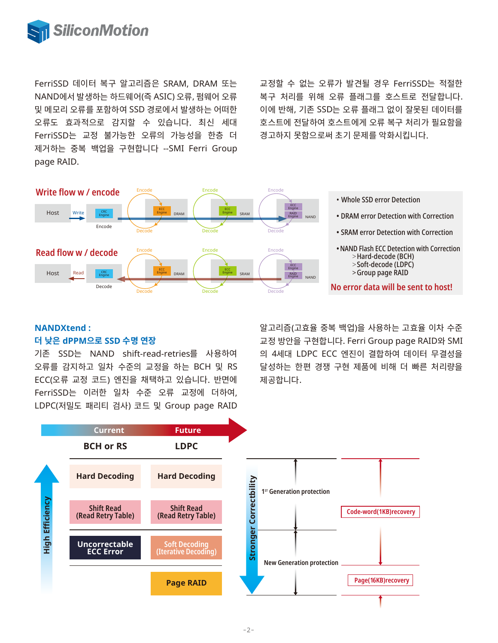

FerriSSD 데이터 복구 알고리즘은 SRAM, DRAM 또는 NAND에서 발생하는 하드웨어(즉 ASIC) 오류, 펌웨어 오류 및 메모리 오류를 포함하여 SSD 경로에서 발생하는 어떠한 오류도 효과적으로 감지할 수 있습니다. 최신 세대 FerriSSD는 교정 불가능한 오류의 가능성을 한층 더 제거하는 중복 백업을 구현합니다 --SMI Ferri Group page RAID.

교정할 수 없는 오류가 발견될 경우 FerriSSD는 적절한 복구 처리를 위해 오류 플래그를 호스트로 전달합니다. 이에 반해, 기존 SSD는 오류 플래그 없이 잘못된 데이터를 호스트에 전달하여 호스트에게 오류 복구 처리가 필요함을 경고하지 못함으로써 초기 문제를 악화시킵니다.



#### **NANDXtend : 더 낮은 dPPM으로 SSD 수명 연장**

기존 SSD는 NAND shift-read-retries를 사용하여 오류를 감지하고 일차 수준의 교정을 하는 BCH 및 RS ECC(오류 교정 코드) 엔진을 채택하고 있습니다. 반면에 FerriSSD는 이러한 일차 수준 오류 교정에 더하여, LDPC(저밀도 패리티 검사) 코드 및 Group page RAID

알고리즘(고효율 중복 백업)을 사용하는 고효율 이차 수준 교정 방안을 구현합니다. Ferri Group page RAID와 SMI 의 4세대 LDPC ECC 엔진이 결합하여 데이터 무결성을 달성하는 한편 경쟁 구현 제품에 비해 더 빠른 처리량을 제공합니다.

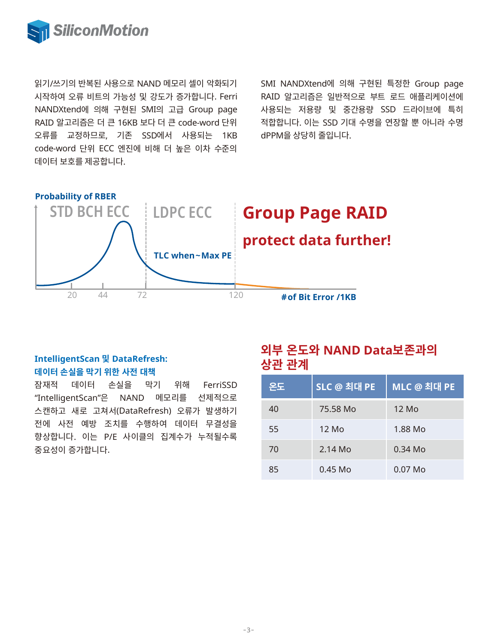

읽기/쓰기의 반복된 사용으로 NAND 메모리 셀이 악화되기 시작하여 오류 비트의 가능성 및 강도가 증가합니다. Ferri NANDXtend에 의해 구현된 SMI의 고급 Group page RAID 알고리즘은 더 큰 16KB 보다 더 큰 code-word 단위 오류를 교정하므로, 기존 SSD에서 사용되는 1KB code-word 단위 ECC 엔진에 비해 더 높은 이차 수준의 데이터 보호를 제공합니다.

SMI NANDXtend에 의해 구현된 특정한 Group page RAID 알고리즘은 일반적으로 부트 로드 애플리케이션에 사용되는 저용량 및 중간용량 SSD 드라이브에 특히 적합합니다. 이는 SSD 기대 수명을 연장할 뿐 아니라 수명 dPPM을 상당히 줄입니다.



# **IntelligentScan 및 DataRefresh: 데이터 손실을 막기 위한 사전 대책**

잠재적 데이터 손실을 막기 위해 FerriSSD "IntelligentScan"은 NAND 메모리를 선제적으로 스캔하고 새로 고쳐서(DataRefresh) 오류가 발생하기 전에 사전 예방 조치를 수행하여 데이터 무결성을 향상합니다. 이는 P/E 사이클의 집계수가 누적될수록 중요성이 증가합니다.

# **외부 온도와 NAND Data보존과의 상관 관계**

| 온도 | SLC @ 최대 PE | MLC @ 최대 PE |
|----|-------------|-------------|
| 40 | 75.58 Mo    | 12 Mo       |
| 55 | 12 Mo       | 1.88 Mo     |
| 70 | $2.14$ Mo   | $0.34$ Mo   |
| 85 | $0.45$ Mo   | $0.07$ Mo   |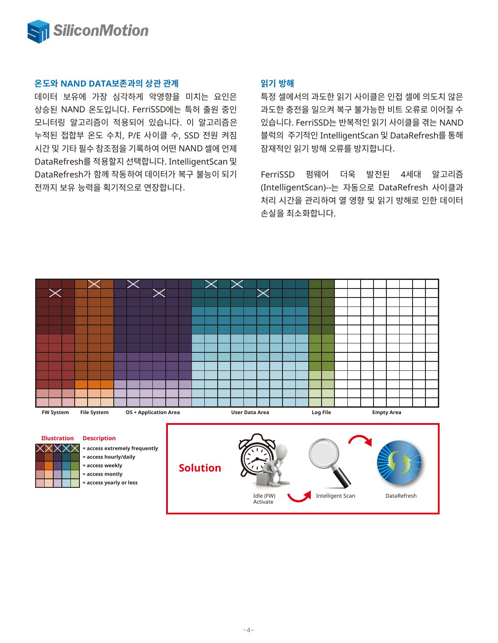

#### **온도와 NAND DATA보존과의 상관 관계**

데이터 보유에 가장 심각하게 악영향을 미치는 요인은 상승된 NAND 온도입니다. FerriSSD에는 특허 출원 중인 모니터링 알고리즘이 적용되어 있습니다. 이 알고리즘은 누적된 접합부 온도 수치, P/E 사이클 수, SSD 전원 켜짐 시간 및 기타 필수 참조점을 기록하여 어떤 NAND 셀에 언제 DataRefresh를 적용할지 선택합니다. IntelligentScan 및 DataRefresh가 함께 작동하여 데이터가 복구 불능이 되기 전까지 보유 능력을 획기적으로 연장합니다.

#### **읽기 방해**

특정 셀에서의 과도한 읽기 사이클은 인접 셀에 의도치 않은 과도한 충전을 일으켜 복구 불가능한 비트 오류로 이어질 수 있습니다. FerriSSD는 반복적인 읽기 사이클을 겪는 NAND 블럭의 주기적인 IntelligentScan 및 DataRefresh를 통해 잠재적인 읽기 방해 오류를 방지합니다.

FerriSSD 펌웨어 더욱 발전된 4세대 알고리즘 (IntelligentScan)--는 자동으로 DataRefresh 사이클과 처리 시간을 관리하여 열 영향 및 읽기 방해로 인한 데이터 손실을 최소화합니다.